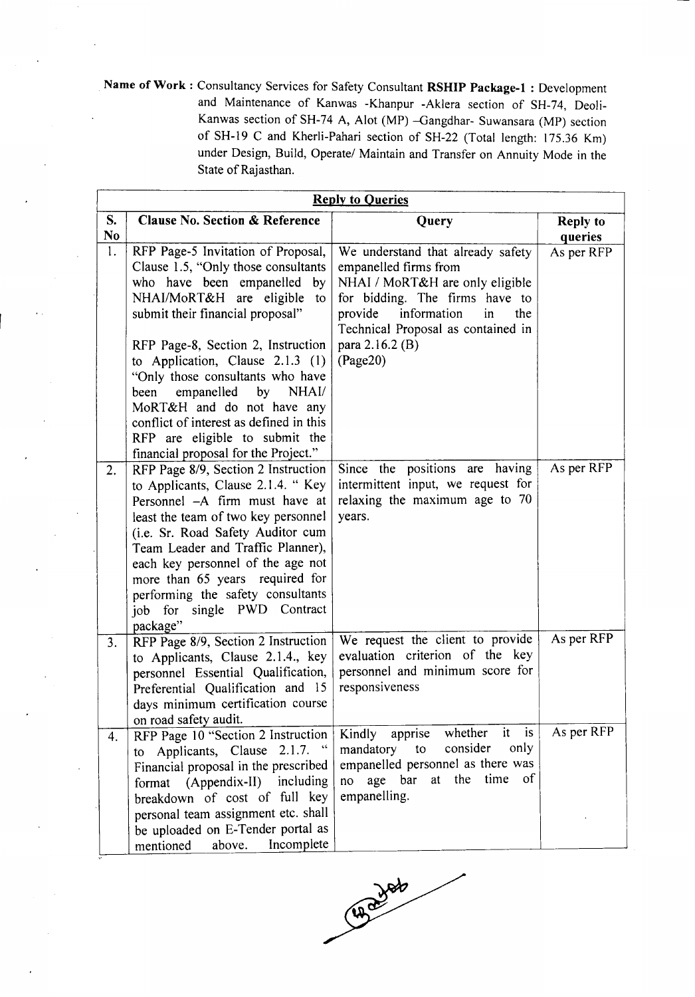Name of Work: Consultancy Services for Safety Consultant RSHIP Package-1: Development and Maintenance of Kanwas -Khanpur -Aklera section of SH-74, Deoli-Kanwas section of SH-74 A, Alot (MP) -Gangdhar- Suwansara (MP) section of SH-19 C and Kherli-Pahari section of SH-22 (Total length: 175.36 Km) under Design, Build, Operate/ Maintain and Transfer on Annuity Mode in the State of Rajasthan.

|                      | <b>Reply to Queries</b>                                                                                                                                                                                                                                                                                                                                                                |                                                                                                                                                                                                              |                            |  |  |  |
|----------------------|----------------------------------------------------------------------------------------------------------------------------------------------------------------------------------------------------------------------------------------------------------------------------------------------------------------------------------------------------------------------------------------|--------------------------------------------------------------------------------------------------------------------------------------------------------------------------------------------------------------|----------------------------|--|--|--|
| S.<br>N <sub>0</sub> | Clause No. Section & Reference                                                                                                                                                                                                                                                                                                                                                         | Query                                                                                                                                                                                                        | <b>Reply to</b><br>queries |  |  |  |
| 1.                   | RFP Page-5 Invitation of Proposal,<br>Clause 1.5, "Only those consultants<br>who have been empanelled<br>by<br>NHAI/MoRT&H are eligible<br>to<br>submit their financial proposal"                                                                                                                                                                                                      | We understand that already safety<br>empanelled firms from<br>NHAI / MoRT&H are only eligible<br>for bidding. The firms have to<br>information<br>provide<br>the<br>in<br>Technical Proposal as contained in | As per RFP                 |  |  |  |
|                      | RFP Page-8, Section 2, Instruction<br>to Application, Clause 2.1.3 (1)<br>"Only those consultants who have<br>NHAI/<br>empanelled<br>by<br>been<br>MoRT&H and do not have any<br>conflict of interest as defined in this<br>RFP are eligible to submit the<br>financial proposal for the Project."                                                                                     | para 2.16.2 (B)<br>(Page20)                                                                                                                                                                                  |                            |  |  |  |
| 2.                   | RFP Page 8/9, Section 2 Instruction<br>to Applicants, Clause 2.1.4. "Key<br>Personnel -A firm must have at<br>least the team of two key personnel<br>(i.e. Sr. Road Safety Auditor cum<br>Team Leader and Traffic Planner),<br>each key personnel of the age not<br>more than 65 years required for<br>performing the safety consultants<br>single PWD Contract<br>job for<br>package" | Since the positions are having<br>intermittent input, we request for<br>relaxing the maximum age to 70<br>years.                                                                                             | As per RFP                 |  |  |  |
| 3.                   | RFP Page 8/9, Section 2 Instruction<br>to Applicants, Clause 2.1.4., key<br>personnel Essential Qualification,<br>Preferential Qualification and 15<br>days minimum certification course<br>on road safety audit.                                                                                                                                                                      | We request the client to provide<br>evaluation criterion of the key<br>personnel and minimum score for<br>responsiveness                                                                                     | As per RFP                 |  |  |  |
| 4.                   | RFP Page 10 "Section 2 Instruction<br>to Applicants, Clause 2.1.7. "<br>Financial proposal in the prescribed<br>format (Appendix-II) including<br>breakdown of cost of full key<br>personal team assignment etc. shall<br>be uploaded on E-Tender portal as<br>Incomplete<br>mentioned<br>above.                                                                                       | whether<br>it is<br>Kindly apprise<br>consider<br>only<br>mandatory to<br>empanelled personnel as there was<br>at the time of<br>no age bar<br>empanelling.                                                  | As per RFP                 |  |  |  |

CHONOR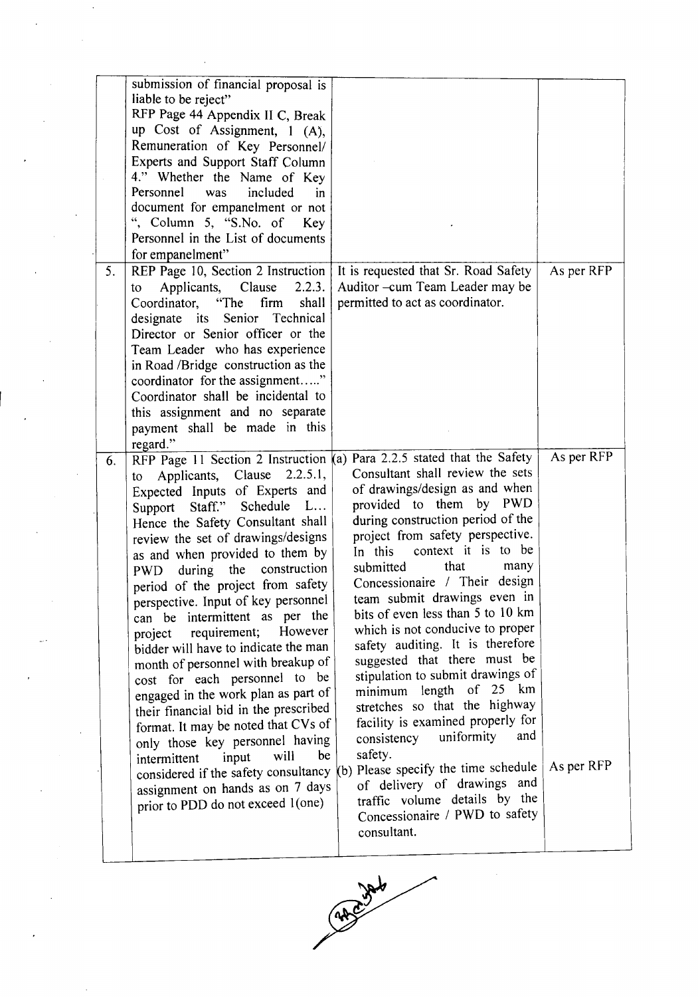|    | submission of financial proposal is        |                                                                         |            |
|----|--------------------------------------------|-------------------------------------------------------------------------|------------|
|    | liable to be reject"                       |                                                                         |            |
|    | RFP Page 44 Appendix II C, Break           |                                                                         |            |
|    | up Cost of Assignment, 1 (A),              |                                                                         |            |
|    | Remuneration of Key Personnel/             |                                                                         |            |
|    | Experts and Support Staff Column           |                                                                         |            |
|    | 4." Whether the Name of Key                |                                                                         |            |
|    | Personnel was<br>included<br>in.           |                                                                         |            |
|    | document for empanelment or not            |                                                                         |            |
|    | ", Column 5, "S.No. of Key                 |                                                                         |            |
|    | Personnel in the List of documents         |                                                                         |            |
|    |                                            |                                                                         |            |
|    | for empanelment"                           |                                                                         |            |
| 5. | REP Page 10, Section 2 Instruction         | It is requested that Sr. Road Safety                                    | As per RFP |
|    | Applicants,<br>Clause<br>2.2.3.<br>to      | Auditor - cum Team Leader may be                                        |            |
|    | "The<br>firm<br>shall<br>Coordinator,      | permitted to act as coordinator.                                        |            |
|    | designate its Senior Technical             |                                                                         |            |
|    | Director or Senior officer or the          |                                                                         |            |
|    | Team Leader who has experience             |                                                                         |            |
|    | in Road /Bridge construction as the        |                                                                         |            |
|    | coordinator for the assignment"            |                                                                         |            |
|    | Coordinator shall be incidental to         |                                                                         |            |
|    | this assignment and no separate            |                                                                         |            |
|    | payment shall be made in this              |                                                                         |            |
|    | regard."                                   |                                                                         |            |
| 6. |                                            | RFP Page 11 Section 2 Instruction (a) Para 2.2.5 stated that the Safety | As per RFP |
|    | Applicants, Clause<br>2.2.5.1,<br>to       | Consultant shall review the sets                                        |            |
|    | Expected Inputs of Experts and             | of drawings/design as and when                                          |            |
|    | L                                          | provided to them by PWD                                                 |            |
|    | Staff."<br>Schedule<br>Support             | during construction period of the                                       |            |
|    | Hence the Safety Consultant shall          | project from safety perspective.                                        |            |
|    | review the set of drawings/designs         | context it is to be<br>In this                                          |            |
|    | as and when provided to them by            |                                                                         |            |
|    | construction<br>PWD during the             | that<br>submitted<br>many                                               |            |
|    | period of the project from safety          | Concessionaire / Their design                                           |            |
|    | perspective. Input of key personnel        | team submit drawings even in                                            |            |
|    | intermittent as per the<br>can be          | bits of even less than 5 to 10 km                                       |            |
|    | However<br>requirement;<br>project         | which is not conducive to proper                                        |            |
|    | bidder will have to indicate the man       | safety auditing. It is therefore                                        |            |
|    | month of personnel with breakup of         | suggested that there must be                                            |            |
|    | cost for each personnel to be              | stipulation to submit drawings of                                       |            |
|    | engaged in the work plan as part of        | minimum length of 25 km                                                 |            |
|    | their financial bid in the prescribed      | stretches so that the highway                                           |            |
|    | format. It may be noted that CVs of        | facility is examined properly for                                       |            |
|    | only those key personnel having            | uniformity<br>and<br>consistency                                        |            |
|    | be<br>will                                 | safety.                                                                 |            |
|    | input<br>intermittent                      | Please specify the time schedule                                        | As per RFP |
|    | considered if the safety consultancy $(b)$ | of delivery of drawings and                                             |            |
|    | assignment on hands as on 7 days           | traffic volume details by the                                           |            |
|    | prior to PDD do not exceed 1(one)          | Concessionaire / PWD to safety                                          |            |
|    |                                            |                                                                         |            |
|    |                                            | consultant.                                                             |            |
|    |                                            |                                                                         |            |

 $\Delta \sim 10^{11}$ 

 $\mathcal{A}^{\mathcal{A}}$ 

 $\frac{1}{\sqrt{2}}$ 

 $\hat{\boldsymbol{\cdot}$ 

 $\overline{\phantom{a}}$ 

 $\frac{1}{2}$ 

 $\mathcal{L}_{\mathrm{eff}}$ 

الأبيد

 $\frac{1}{2}$ 

 $\frac{1}{2}$ 

 $\hat{\boldsymbol{\beta}}$ 

 $\ddot{\phantom{0}}$ 

 $\sim$ 

 $\frac{1}{2}$ 

 $\cdot$ 



 $\sim$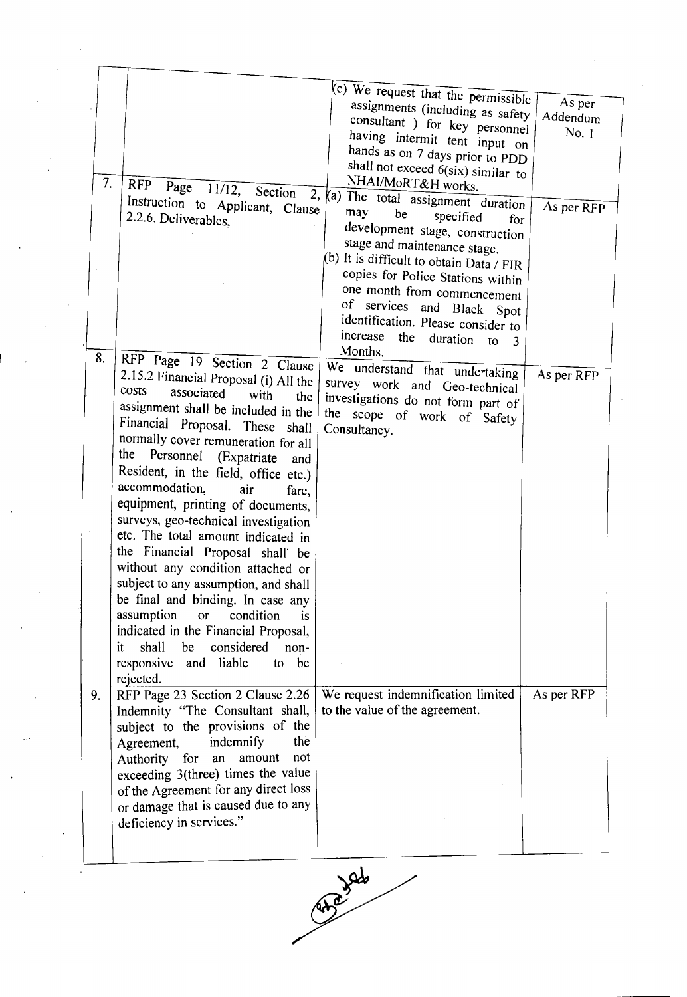|    |                                          | (c) We request that the permissible                     | As per     |
|----|------------------------------------------|---------------------------------------------------------|------------|
|    |                                          | assignments (including as safety                        | Addendum   |
|    |                                          | consultant ) for key personnel                          | No. 1      |
|    |                                          | having intermit tent input on                           |            |
|    |                                          | hands as on 7 days prior to PDD                         |            |
|    |                                          | shall not exceed 6(six) similar to                      |            |
| 7. | RFP Page 11/12, Section                  | NHAI/MoRT&H works.                                      |            |
|    | Instruction to Applicant, Clause         | 2, (a) The total assignment duration                    | As per RFP |
|    | 2.2.6. Deliverables,                     | may<br>be<br>specified<br>for                           |            |
|    |                                          | development stage, construction                         |            |
|    |                                          | stage and maintenance stage.                            |            |
|    |                                          | (b) It is difficult to obtain Data / FIR                |            |
|    |                                          | copies for Police Stations within                       |            |
|    |                                          | one month from commencement                             |            |
|    |                                          | of services and Black Spot                              |            |
|    |                                          | identification. Please consider to                      |            |
|    |                                          | increase the<br>duration<br>$\overline{\text{to}}$<br>3 |            |
|    |                                          | Months.                                                 |            |
| 8. | RFP Page 19 Section 2 Clause             | We understand that undertaking                          |            |
|    | 2.15.2 Financial Proposal (i) All the    | survey work and Geo-technical                           | As per RFP |
|    | costs<br>associated<br>with<br>the       | investigations do not form part of                      |            |
|    | assignment shall be included in the      | the scope of work of Safety                             |            |
|    | Financial Proposal. These shall          | Consultancy.                                            |            |
|    | normally cover remuneration for all      |                                                         |            |
|    | the<br>Personnel (Expatriate<br>and      |                                                         |            |
|    | Resident, in the field, office etc.)     |                                                         |            |
|    | accommodation,<br>air<br>fare,           |                                                         |            |
|    | equipment, printing of documents,        |                                                         |            |
|    | surveys, geo-technical investigation     |                                                         |            |
|    | etc. The total amount indicated in       |                                                         |            |
|    | the Financial Proposal shall be          |                                                         |            |
|    | without any condition attached or        |                                                         |            |
|    | subject to any assumption, and shall     |                                                         |            |
|    | be final and binding. In case any        |                                                         |            |
|    | assumption<br>condition<br>or<br>is      |                                                         |            |
|    | indicated in the Financial Proposal,     |                                                         |            |
|    | considered<br>shall<br>be<br>non-<br>it. |                                                         |            |
|    | liable<br>to be                          |                                                         |            |
|    | responsive and                           |                                                         |            |
|    | rejected.                                |                                                         |            |
| 9. | RFP Page 23 Section 2 Clause 2.26        | We request indemnification limited                      | As per RFP |
|    | Indemnity "The Consultant shall,         | to the value of the agreement.                          |            |
|    | subject to the provisions of the         |                                                         |            |
|    | the<br>indemnify<br>Agreement,           |                                                         |            |
|    | not<br>Authority<br>for<br>amount<br>an  |                                                         |            |
|    | exceeding 3(three) times the value       |                                                         |            |
|    | of the Agreement for any direct loss     |                                                         |            |
|    | or damage that is caused due to any      |                                                         |            |
|    | deficiency in services."                 |                                                         |            |
|    |                                          |                                                         |            |
|    |                                          |                                                         |            |

Roads Valo